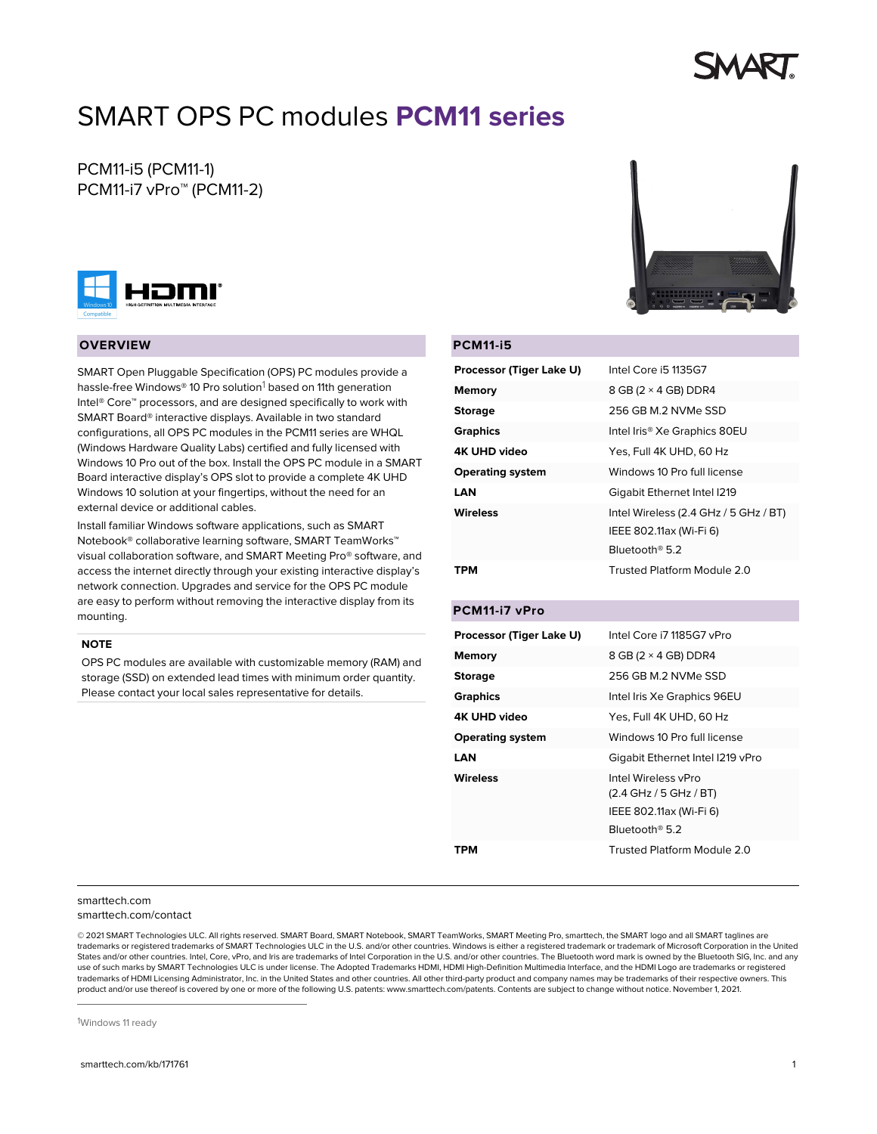# SMART OPS PC modules **PCM11 series**

# PCM11-i5 (PCM11-1) PCM11-i7 vPro™ (PCM11-2)



#### **OVERVIEW**

SMART Open Pluggable Specification (OPS) PC modules provide a hassle-free Windows® 10 Pro solution<sup>1</sup> based on 11th generation Intel® Core™ processors, and are designed specifically to work with SMART Board® interactive displays. Available in two standard configurations, all OPS PC modules in the PCM11 series are WHQL (Windows Hardware Quality Labs) certified and fully licensed with Windows 10 Pro out of the box. Install the OPS PC module in a SMART Board interactive display's OPS slot to provide a complete 4K UHD Windows 10 solution at your fingertips, without the need for an external device or additional cables.

Install familiar Windows software applications, such as SMART Notebook® collaborative learning software, SMART TeamWorks™ visual collaboration software, and SMART Meeting Pro® software, and access the internet directly through your existing interactive display's network connection. Upgrades and service for the OPS PC module are easy to perform without removing the interactive display from its mounting.

#### **NOTE**

OPS PC modules are available with customizable memory (RAM) and storage (SSD) on extended lead times with minimum order quantity. Please contact your local sales representative for details.



#### **PCM11-i5**

| Processor (Tiger Lake U) | Intel Core i5 1135G7                                                                                   |
|--------------------------|--------------------------------------------------------------------------------------------------------|
| <b>Memory</b>            | 8 GB (2 × 4 GB) DDR4                                                                                   |
| <b>Storage</b>           | 256 GB M.2 NVMe SSD                                                                                    |
| <b>Graphics</b>          | Intel Iris® Xe Graphics 80EU                                                                           |
| <b>4K UHD video</b>      | Yes, Full 4K UHD, 60 Hz                                                                                |
| <b>Operating system</b>  | Windows 10 Pro full license                                                                            |
| <b>LAN</b>               | Gigabit Ethernet Intel I219                                                                            |
| <b>Wireless</b>          | Intel Wireless (2.4 GHz / 5 GHz / BT)<br>IEEE 802.11ax (Wi-Fi 6)<br>Bluetooth <sup>®</sup> 5.2         |
| трм                      | Trusted Platform Module 2.0                                                                            |
| PCM11-i7 vPro            |                                                                                                        |
| Processor (Tiger Lake U) | Intel Core i7 1185G7 vPro                                                                              |
| <b>Memory</b>            | 8 GB (2 × 4 GB) DDR4                                                                                   |
| <b>Storage</b>           | 256 GB M.2 NVMe SSD                                                                                    |
| <b>Graphics</b>          | Intel Iris Xe Graphics 96EU                                                                            |
| <b>4K UHD video</b>      | Yes, Full 4K UHD, 60 Hz                                                                                |
| <b>Operating system</b>  | Windows 10 Pro full license                                                                            |
| <b>LAN</b>               | Gigabit Ethernet Intel I219 vPro                                                                       |
| Wireless                 | Intel Wireless vPro<br>(2.4 GHz / 5 GHz / BT)<br>IEEE 802.11ax (Wi-Fi 6)<br>Bluetooth <sup>®</sup> 5.2 |
| TPM                      | Trusted Platform Module 2.0                                                                            |

#### [smarttech.com](https://www.smarttech.com/) [smarttech.com/contact](https://www.smarttech.com/contact)

© 2021 SMART Technologies ULC. All rights reserved. SMART Board, SMART Notebook, SMART TeamWorks, SMART Meeting Pro, smarttech, the SMART logo and all SMART taglines are trademarks or registered trademarks of SMART Technologies ULC in the U.S. and/or other countries. Windows is either a registered trademark or trademark of Microsoft Corporation in the United States and/or other countries. Intel, Core, vPro, and Iris are trademarks of Intel Corporation in the U.S. and/or other countries. The Bluetooth word mark is owned by the Bluetooth SIG, Inc. and any use of such marks by SMART Technologies ULC is under license. The Adopted Trademarks HDMI, HDMI High-Definition Multimedia Interface, and the HDMI Logo are trademarks or registered trademarks of HDMI Licensing Administrator, Inc. in the United States and other countries. All other third-party product and company names may be trademarks of their respective owners. This product and/or use thereof is covered by one or more of the following U.S. patents: [www.smarttech.com/patents.](https://www.smarttech.com/patents) Contents are subject to change without notice. November 1, 2021.

1Windows 11 ready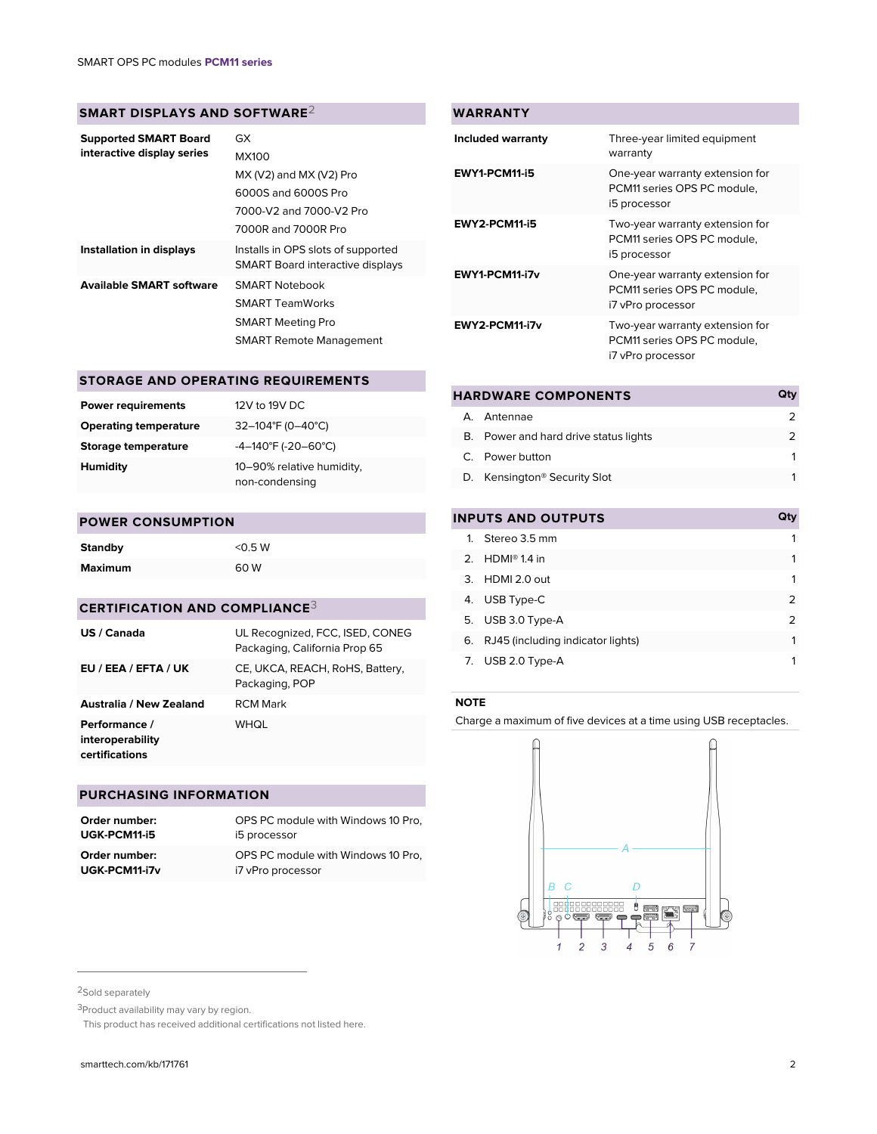### **SMART DISPLAYS AND SOFTWARE**2

| <b>Supported SMART Board</b><br>interactive display series | GX                                                                            |
|------------------------------------------------------------|-------------------------------------------------------------------------------|
|                                                            | <b>MX100</b>                                                                  |
|                                                            | $MX (V2)$ and $MX (V2)$ Pro                                                   |
|                                                            | 6000S and 6000S Pro                                                           |
|                                                            | 7000-V2 and 7000-V2 Pro                                                       |
|                                                            | 7000R and 7000R Pro                                                           |
| Installation in displays                                   | Installs in OPS slots of supported<br><b>SMART Board interactive displays</b> |
| <b>Available SMART software</b>                            | <b>SMART Notebook</b>                                                         |
|                                                            | <b>SMART TeamWorks</b>                                                        |
|                                                            | <b>SMART Meeting Pro</b>                                                      |
|                                                            | <b>SMART Remote Management</b>                                                |

# **STORAGE AND OPERATING REQUIREMENTS**

| <b>Power requirements</b>    | 12V to 19V DC                               |
|------------------------------|---------------------------------------------|
| <b>Operating temperature</b> | 32-104°F (0-40°C)                           |
| Storage temperature          | $-4-140^{\circ}F (-20-60^{\circ}C)$         |
| Humidity                     | 10-90% relative humidity,<br>non-condensing |

#### **POWER CONSUMPTION**

| <b>Standby</b> | $<$ 0.5 W |
|----------------|-----------|
| <b>Maximum</b> | 60 W      |

# **CERTIFICATION AND COMPLIANCE**3

| US / Canada                                         | UL Recognized, FCC, ISED, CONEG<br>Packaging, California Prop 65 |
|-----------------------------------------------------|------------------------------------------------------------------|
| EU / EEA / EFTA / UK                                | CE, UKCA, REACH, RoHS, Battery,<br>Packaging, POP                |
| Australia / New Zealand                             | <b>RCM</b> Mark                                                  |
| Performance /<br>interoperability<br>certifications | WHQL                                                             |

#### **PURCHASING INFORMATION**

| Order number: | OPS PC module with Windows 10 Pro. |
|---------------|------------------------------------|
| UGK-PCM11-i5  | i5 processor                       |
| Order number: | OPS PC module with Windows 10 Pro. |
| UGK-PCM11-i7v | i7 vPro processor                  |

| <b>WARRANTY</b>      |                                                                                     |
|----------------------|-------------------------------------------------------------------------------------|
| Included warranty    | Three-year limited equipment<br>warranty                                            |
| EWY1-PCM11-i5        | One-year warranty extension for<br>PCM11 series OPS PC module.<br>i5 processor      |
| <b>EWY2-PCM11-i5</b> | Two-year warranty extension for<br>PCM11 series OPS PC module.<br>i5 processor      |
| EWY1-PCM11-i7v       | One-year warranty extension for<br>PCM11 series OPS PC module.<br>i7 vPro processor |
| EWY2-PCM11-i7v       | Two-year warranty extension for<br>PCM11 series OPS PC module.<br>i7 vPro processor |

| <b>HARDWARE COMPONENTS</b>               |  |
|------------------------------------------|--|
| A Antennae                               |  |
| B. Power and hard drive status lights    |  |
| C. Power button                          |  |
| D. Kensington <sup>®</sup> Security Slot |  |
|                                          |  |

# **INPUTS AND OUTPUTS Qty**

|    | 1. Stereo 3.5 mm                  |   |
|----|-----------------------------------|---|
|    | 2. HDMI <sup>®</sup> 1.4 in       |   |
|    | 3. HDMI 2.0 out                   |   |
|    | 4. USB Type-C                     | 2 |
|    | 5. USB 3.0 Type-A                 | 2 |
| 6. | RJ45 (including indicator lights) | 1 |
|    | 7. USB 2.0 Type-A                 |   |

#### **NOTE**

Charge a maximum of five devices at a time using USB receptacles.



<sup>2</sup>Sold separately

<sup>3</sup>Product availability may vary by region.

<sup>2</sup>This product has received additional certifications not listed here.